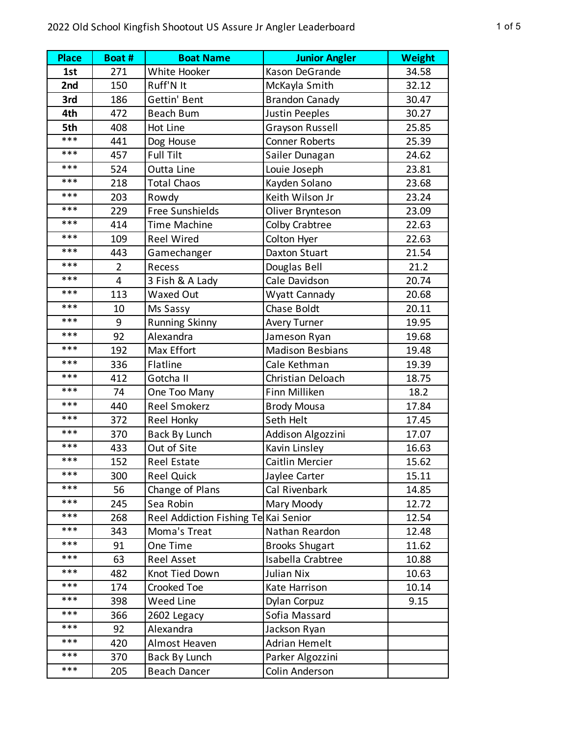| <b>Place</b> | Boat #         | <b>Boat Name</b>                     | <b>Junior Angler</b>    | <b>Weight</b> |
|--------------|----------------|--------------------------------------|-------------------------|---------------|
| 1st          | 271            | White Hooker                         | Kason DeGrande          | 34.58         |
| 2nd          | 150            | Ruff'N It                            | McKayla Smith           | 32.12         |
| 3rd          | 186            | Gettin' Bent                         | <b>Brandon Canady</b>   | 30.47         |
| 4th          | 472            | <b>Beach Bum</b>                     | <b>Justin Peeples</b>   | 30.27         |
| 5th          | 408            | Hot Line                             | <b>Grayson Russell</b>  | 25.85         |
| ***          | 441            | Dog House                            | <b>Conner Roberts</b>   | 25.39         |
| ***          | 457            | Full Tilt                            | Sailer Dunagan          | 24.62         |
| ***          | 524            | Outta Line                           | Louie Joseph            | 23.81         |
| ***          | 218            | <b>Total Chaos</b>                   | Kayden Solano           | 23.68         |
| ***          | 203            | Rowdy                                | Keith Wilson Jr         | 23.24         |
| ***          | 229            | Free Sunshields                      | Oliver Brynteson        | 23.09         |
| ***          | 414            | <b>Time Machine</b>                  | <b>Colby Crabtree</b>   | 22.63         |
| ***          | 109            | <b>Reel Wired</b>                    | Colton Hyer             | 22.63         |
| ***          | 443            | Gamechanger                          | Daxton Stuart           | 21.54         |
| ***          | $\overline{2}$ | Recess                               | Douglas Bell            | 21.2          |
| ***          | $\overline{4}$ | 3 Fish & A Lady                      | Cale Davidson           | 20.74         |
| ***          | 113            | Waxed Out                            | Wyatt Cannady           | 20.68         |
| ***          | 10             | Ms Sassy                             | Chase Boldt             | 20.11         |
| ***          | 9              | <b>Running Skinny</b>                | <b>Avery Turner</b>     | 19.95         |
| ***          | 92             | Alexandra                            | Jameson Ryan            | 19.68         |
| ***          | 192            | Max Effort                           | <b>Madison Besbians</b> | 19.48         |
| ***          | 336            | Flatline                             | Cale Kethman            | 19.39         |
| ***          | 412            | Gotcha II                            | Christian Deloach       | 18.75         |
| ***          | 74             | One Too Many                         | Finn Milliken           | 18.2          |
| ***          | 440            | <b>Reel Smokerz</b>                  | <b>Brody Mousa</b>      | 17.84         |
| ***          | 372            | Reel Honky                           | Seth Helt               | 17.45         |
| ***          | 370            | <b>Back By Lunch</b>                 | Addison Algozzini       | 17.07         |
| ***          | 433            | Out of Site                          | Kavin Linsley           | 16.63         |
| ***          | 152            | <b>Reel Estate</b>                   | Caitlin Mercier         | 15.62         |
| ***          | 300            | <b>Reel Quick</b>                    | Jaylee Carter           | 15.11         |
| ***          | 56             | Change of Plans                      | Cal Rivenbark           | 14.85         |
| ***          | 245            | Sea Robin                            | Mary Moody              | 12.72         |
| ***          | 268            | Reel Addiction Fishing Te Kai Senior |                         | 12.54         |
| $***$        | 343            | Moma's Treat                         | Nathan Reardon          | 12.48         |
| ***          | 91             | One Time                             | <b>Brooks Shugart</b>   | 11.62         |
| ***          | 63             | <b>Reel Asset</b>                    | Isabella Crabtree       | 10.88         |
| ***          | 482            | Knot Tied Down                       | Julian Nix              | 10.63         |
| $***$        | 174            | Crooked Toe                          | Kate Harrison           | 10.14         |
| ***          | 398            | Weed Line                            | Dylan Corpuz            | 9.15          |
| ***          | 366            | 2602 Legacy                          | Sofia Massard           |               |
| ***          | 92             | Alexandra                            | Jackson Ryan            |               |
| $***$        | 420            | Almost Heaven                        | <b>Adrian Hemelt</b>    |               |
| ***          | 370            | <b>Back By Lunch</b>                 | Parker Algozzini        |               |
| ***          | 205            | <b>Beach Dancer</b>                  | Colin Anderson          |               |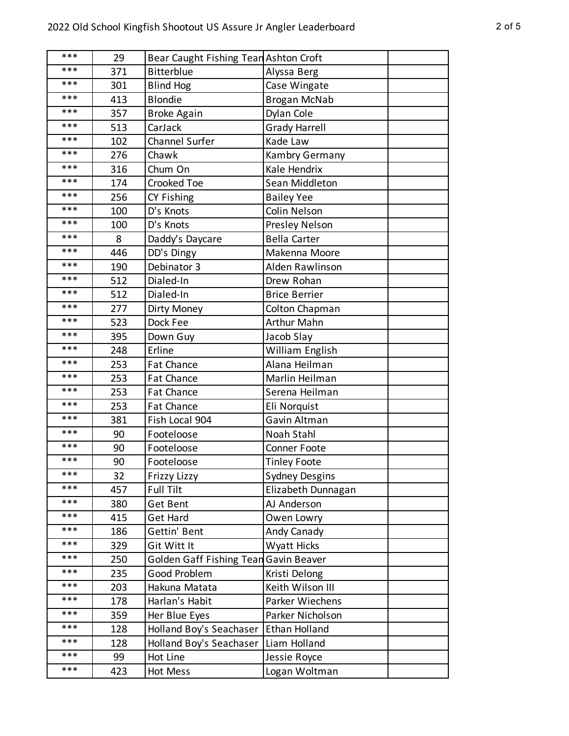| *** | 29  | Bear Caught Fishing Tean Ashton Croft |                       |  |
|-----|-----|---------------------------------------|-----------------------|--|
| *** | 371 | <b>Bitterblue</b>                     | Alyssa Berg           |  |
| *** | 301 | <b>Blind Hog</b>                      | Case Wingate          |  |
| *** | 413 | <b>Blondie</b>                        | <b>Brogan McNab</b>   |  |
| *** | 357 | <b>Broke Again</b>                    | Dylan Cole            |  |
| *** | 513 | CarJack                               | <b>Grady Harrell</b>  |  |
| *** | 102 | <b>Channel Surfer</b>                 | Kade Law              |  |
| *** | 276 | Chawk                                 | Kambry Germany        |  |
| *** | 316 | Chum On                               | Kale Hendrix          |  |
| *** | 174 | Crooked Toe                           | Sean Middleton        |  |
| *** | 256 | CY Fishing                            | <b>Bailey Yee</b>     |  |
| *** | 100 | D's Knots                             | Colin Nelson          |  |
| *** | 100 | D's Knots                             | Presley Nelson        |  |
| *** | 8   | Daddy's Daycare                       | <b>Bella Carter</b>   |  |
| *** | 446 | DD's Dingy                            | Makenna Moore         |  |
| *** | 190 | Debinator 3                           | Alden Rawlinson       |  |
| *** | 512 | Dialed-In                             | Drew Rohan            |  |
| *** | 512 | Dialed-In                             | <b>Brice Berrier</b>  |  |
| *** | 277 | Dirty Money                           | Colton Chapman        |  |
| *** | 523 | Dock Fee                              | <b>Arthur Mahn</b>    |  |
| *** | 395 | Down Guy                              | Jacob Slay            |  |
| *** | 248 | Erline                                | William English       |  |
| *** | 253 | Fat Chance                            | Alana Heilman         |  |
| *** | 253 | Fat Chance                            | Marlin Heilman        |  |
| *** | 253 | Fat Chance                            | Serena Heilman        |  |
| *** | 253 | Fat Chance                            | Eli Norquist          |  |
| *** | 381 | Fish Local 904                        | Gavin Altman          |  |
| *** | 90  | Footeloose                            | Noah Stahl            |  |
| *** | 90  | Footeloose                            | <b>Conner Foote</b>   |  |
| *** | 90  | Footeloose                            | <b>Tinley Foote</b>   |  |
| *** | 32  | Frizzy Lizzy                          | <b>Sydney Desgins</b> |  |
| *** | 457 | Full Tilt                             | Elizabeth Dunnagan    |  |
| *** | 380 | Get Bent                              | AJ Anderson           |  |
| *** | 415 | <b>Get Hard</b>                       | Owen Lowry            |  |
| *** | 186 | Gettin' Bent                          | Andy Canady           |  |
| *** | 329 | Git Witt It                           | <b>Wyatt Hicks</b>    |  |
| *** | 250 | Golden Gaff Fishing Tean              | Gavin Beaver          |  |
| *** | 235 | Good Problem                          | Kristi Delong         |  |
| *** | 203 | Hakuna Matata                         | Keith Wilson III      |  |
| *** | 178 | Harlan's Habit                        | Parker Wiechens       |  |
| *** | 359 | Her Blue Eyes                         | Parker Nicholson      |  |
| *** | 128 | Holland Boy's Seachaser               | Ethan Holland         |  |
| *** | 128 | Holland Boy's Seachaser               | Liam Holland          |  |
| *** | 99  | Hot Line                              | Jessie Royce          |  |
| *** | 423 | Hot Mess                              | Logan Woltman         |  |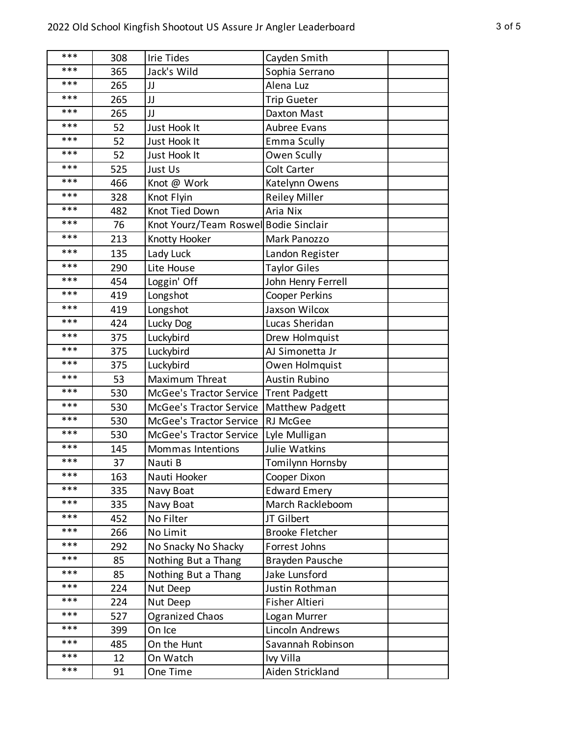| *** | 308 | <b>Irie Tides</b>                      | Cayden Smith           |
|-----|-----|----------------------------------------|------------------------|
| *** | 365 | Jack's Wild                            | Sophia Serrano         |
| *** | 265 | JJ                                     | Alena Luz              |
| *** | 265 | JJ                                     | Trip Gueter            |
| *** | 265 | JJ                                     | Daxton Mast            |
| *** | 52  | Just Hook It                           | Aubree Evans           |
| *** | 52  | Just Hook It                           | Emma Scully            |
| *** | 52  | Just Hook It                           | Owen Scully            |
| *** | 525 | Just Us                                | Colt Carter            |
| *** | 466 | Knot @ Work                            | Katelynn Owens         |
| *** | 328 | Knot Flyin                             | <b>Reiley Miller</b>   |
| *** | 482 | Knot Tied Down                         | Aria Nix               |
| *** | 76  | Knot Yourz/Team Roswell Bodie Sinclair |                        |
| *** | 213 | Knotty Hooker                          | Mark Panozzo           |
| *** | 135 | Lady Luck                              | Landon Register        |
| *** | 290 | Lite House                             | <b>Taylor Giles</b>    |
| *** | 454 | Loggin' Off                            | John Henry Ferrell     |
| *** | 419 | Longshot                               | <b>Cooper Perkins</b>  |
| *** | 419 | Longshot                               | Jaxson Wilcox          |
| *** | 424 | Lucky Dog                              | Lucas Sheridan         |
| *** | 375 | Luckybird                              | Drew Holmquist         |
| *** | 375 | Luckybird                              | AJ Simonetta Jr        |
| *** | 375 | Luckybird                              | Owen Holmquist         |
| *** | 53  | Maximum Threat                         | <b>Austin Rubino</b>   |
| *** | 530 | McGee's Tractor Service                | Trent Padgett          |
| *** | 530 | McGee's Tractor Service                | Matthew Padgett        |
| *** | 530 | McGee's Tractor Service                | RJ McGee               |
| *** | 530 | <b>McGee's Tractor Service</b>         | Lyle Mulligan          |
| *** | 145 | Mommas Intentions                      | Julie Watkins          |
| *** | 37  | Nauti B                                | Tomilynn Hornsby       |
| *** | 163 | Nauti Hooker                           | Cooper Dixon           |
| *** | 335 | Navy Boat                              | <b>Edward Emery</b>    |
| *** | 335 | Navy Boat                              | March Rackleboom       |
| *** | 452 | No Filter                              | JT Gilbert             |
| *** | 266 | No Limit                               | <b>Brooke Fletcher</b> |
| *** | 292 | No Snacky No Shacky                    | Forrest Johns          |
| *** | 85  | Nothing But a Thang                    | Brayden Pausche        |
| *** | 85  | Nothing But a Thang                    | Jake Lunsford          |
| *** | 224 | Nut Deep                               | Justin Rothman         |
| *** | 224 | Nut Deep                               | Fisher Altieri         |
| *** | 527 | <b>Ogranized Chaos</b>                 | Logan Murrer           |
| *** | 399 | On Ice                                 | Lincoln Andrews        |
| *** | 485 | On the Hunt                            | Savannah Robinson      |
| *** | 12  | On Watch                               | Ivy Villa              |
| *** | 91  | One Time                               | Aiden Strickland       |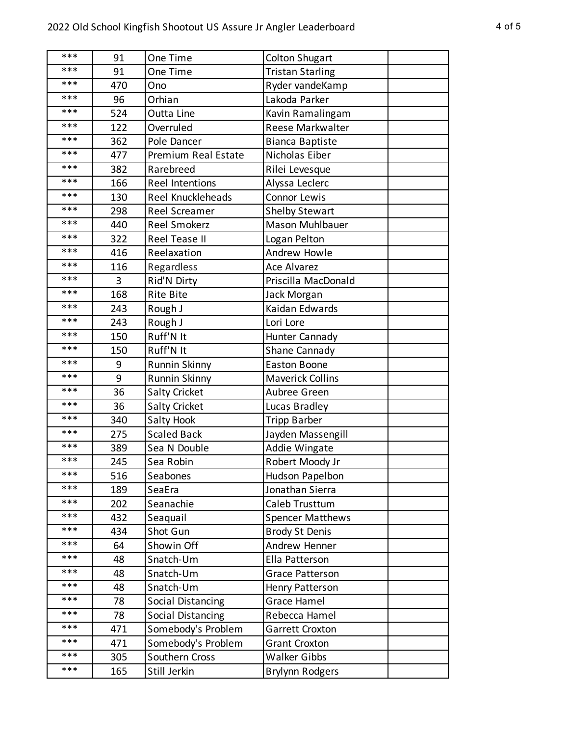| ***<br>91<br>One Time<br><b>Colton Shugart</b><br>***<br>91<br><b>Tristan Starling</b><br>One Time<br>***<br>470<br>Ono<br>Ryder vandeKamp<br>***<br>96<br>Orhian<br>Lakoda Parker<br>***<br>524<br>Outta Line<br>Kavin Ramalingam<br>***<br>122<br><b>Reese Markwalter</b><br>Overruled<br>***<br>362<br>Pole Dancer<br><b>Bianca Baptiste</b> |  |
|-------------------------------------------------------------------------------------------------------------------------------------------------------------------------------------------------------------------------------------------------------------------------------------------------------------------------------------------------|--|
|                                                                                                                                                                                                                                                                                                                                                 |  |
|                                                                                                                                                                                                                                                                                                                                                 |  |
|                                                                                                                                                                                                                                                                                                                                                 |  |
|                                                                                                                                                                                                                                                                                                                                                 |  |
|                                                                                                                                                                                                                                                                                                                                                 |  |
|                                                                                                                                                                                                                                                                                                                                                 |  |
|                                                                                                                                                                                                                                                                                                                                                 |  |
| ***<br>Nicholas Eiber<br>477<br>Premium Real Estate                                                                                                                                                                                                                                                                                             |  |
| ***<br>Rarebreed<br>382<br>Rilei Levesque                                                                                                                                                                                                                                                                                                       |  |
| ***<br>166<br><b>Reel Intentions</b><br>Alyssa Leclerc                                                                                                                                                                                                                                                                                          |  |
| ***<br>Reel Knuckleheads<br><b>Connor Lewis</b><br>130                                                                                                                                                                                                                                                                                          |  |
| ***<br>298<br><b>Reel Screamer</b><br><b>Shelby Stewart</b>                                                                                                                                                                                                                                                                                     |  |
| ***<br>Mason Muhlbauer<br>440<br>Reel Smokerz                                                                                                                                                                                                                                                                                                   |  |
| ***<br>322<br>Reel Tease II<br>Logan Pelton                                                                                                                                                                                                                                                                                                     |  |
| ***<br>Reelaxation<br>Andrew Howle<br>416                                                                                                                                                                                                                                                                                                       |  |
| ***<br>116<br>Regardless<br><b>Ace Alvarez</b>                                                                                                                                                                                                                                                                                                  |  |
| ***<br>Rid'N Dirty<br>Priscilla MacDonald<br>3                                                                                                                                                                                                                                                                                                  |  |
| ***<br>168<br><b>Rite Bite</b><br>Jack Morgan                                                                                                                                                                                                                                                                                                   |  |
| ***<br>Kaidan Edwards<br>243<br>Rough J                                                                                                                                                                                                                                                                                                         |  |
| ***<br>243<br>Rough J<br>Lori Lore                                                                                                                                                                                                                                                                                                              |  |
| ***<br>Ruff'N It<br>150<br>Hunter Cannady                                                                                                                                                                                                                                                                                                       |  |
| ***<br>Ruff'N It<br>150<br>Shane Cannady                                                                                                                                                                                                                                                                                                        |  |
| ***<br>9<br><b>Runnin Skinny</b><br><b>Easton Boone</b>                                                                                                                                                                                                                                                                                         |  |
| ***<br>9<br><b>Runnin Skinny</b><br><b>Maverick Collins</b>                                                                                                                                                                                                                                                                                     |  |
| ***<br>36<br><b>Salty Cricket</b><br>Aubree Green                                                                                                                                                                                                                                                                                               |  |
| ***<br>36<br><b>Salty Cricket</b><br>Lucas Bradley                                                                                                                                                                                                                                                                                              |  |
| ***<br>340<br>Salty Hook<br><b>Tripp Barber</b>                                                                                                                                                                                                                                                                                                 |  |
| ***<br><b>Scaled Back</b><br>275<br>Jayden Massengill                                                                                                                                                                                                                                                                                           |  |
| ***<br>389<br>Sea N Double<br>Addie Wingate                                                                                                                                                                                                                                                                                                     |  |
| ***<br>Sea Robin<br>245<br>Robert Moody Jr                                                                                                                                                                                                                                                                                                      |  |
| ***<br>516<br>Seabones<br>Hudson Papelbon                                                                                                                                                                                                                                                                                                       |  |
| ***<br>189<br>Jonathan Sierra<br>SeaEra                                                                                                                                                                                                                                                                                                         |  |
| ***<br>Caleb Trusttum<br>202<br>Seanachie                                                                                                                                                                                                                                                                                                       |  |
| ***<br>432<br>Seaquail<br><b>Spencer Matthews</b>                                                                                                                                                                                                                                                                                               |  |
| ***<br>Shot Gun<br>434<br><b>Brody St Denis</b>                                                                                                                                                                                                                                                                                                 |  |
| ***<br>Showin Off<br>64<br>Andrew Henner                                                                                                                                                                                                                                                                                                        |  |
| ***<br>48<br>Snatch-Um<br>Ella Patterson                                                                                                                                                                                                                                                                                                        |  |
| ***<br>48<br>Snatch-Um<br><b>Grace Patterson</b>                                                                                                                                                                                                                                                                                                |  |
| ***<br>48<br>Snatch-Um<br><b>Henry Patterson</b>                                                                                                                                                                                                                                                                                                |  |
| ***<br>78<br>Social Distancing<br>Grace Hamel                                                                                                                                                                                                                                                                                                   |  |
| ***<br>78<br>Social Distancing<br>Rebecca Hamel                                                                                                                                                                                                                                                                                                 |  |
| ***<br>471<br>Somebody's Problem<br>Garrett Croxton                                                                                                                                                                                                                                                                                             |  |
| ***<br>471<br>Somebody's Problem<br><b>Grant Croxton</b>                                                                                                                                                                                                                                                                                        |  |
| ***<br><b>Walker Gibbs</b><br>305<br>Southern Cross                                                                                                                                                                                                                                                                                             |  |
| ***<br>Still Jerkin<br>165<br><b>Brylynn Rodgers</b>                                                                                                                                                                                                                                                                                            |  |